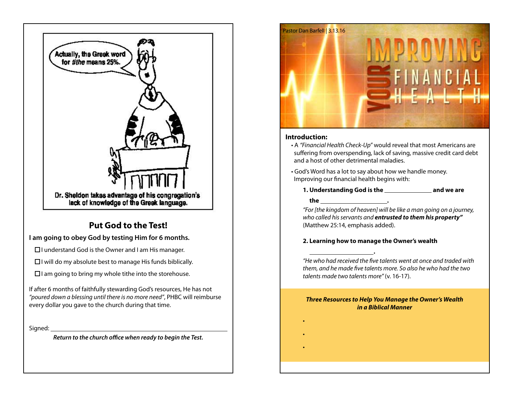

# **Put God to the Test!**

# **I am going to obey God by testing Him for 6 months.**

 $\Box$ I understand God is the Owner and I am His manager.

 $\Box$  I will do my absolute best to manage His funds biblically.

 $\Box$ I am going to bring my whole tithe into the storehouse.

If after 6 months of faithfully stewarding God's resources, He has not *"poured down a blessing until there is no more need"*, PHBC will reimburse every dollar you gave to the church during that time.

Signed: \_\_

*Return to the church office when ready to begin the Test.*



### **Introduction:**

- A *"Financial Health Check-Up"* would reveal that most Americans are suffering from overspending, lack of saving, massive credit card debt and a host of other detrimental maladies.
- God's Word has a lot to say about how we handle money. Improving our financial health begins with:

**1. Understanding God is the \_\_\_\_\_\_\_\_\_\_\_\_\_\_ and we are** 

 **the .**

•

•

•

 **.**

*"For [the kingdom of heaven] will be like a man going on a journey, who called his servants and entrusted to them his property"* (Matthew 25:14, emphasis added).

## **2. Learning how to manage the Owner's wealth**

*"He who had received the five talents went at once and traded with them, and he made five talents more. So also he who had the two talents made two talents more"* (v. 16-17).

#### *Three Resources to Help You Manage the Owner's Wealth in a Biblical Manner*